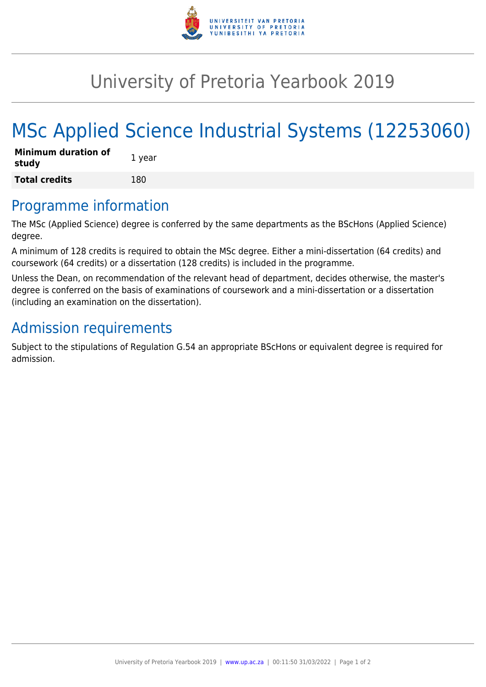

## University of Pretoria Yearbook 2019

# MSc Applied Science Industrial Systems (12253060)

| <b>Minimum duration of</b><br>study | 1 year |
|-------------------------------------|--------|
| <b>Total credits</b>                | 180    |

#### Programme information

The MSc (Applied Science) degree is conferred by the same departments as the BScHons (Applied Science) degree.

A minimum of 128 credits is required to obtain the MSc degree. Either a mini-dissertation (64 credits) and coursework (64 credits) or a dissertation (128 credits) is included in the programme.

Unless the Dean, on recommendation of the relevant head of department, decides otherwise, the master's degree is conferred on the basis of examinations of coursework and a mini-dissertation or a dissertation (including an examination on the dissertation).

## Admission requirements

Subject to the stipulations of Regulation G.54 an appropriate BScHons or equivalent degree is required for admission.